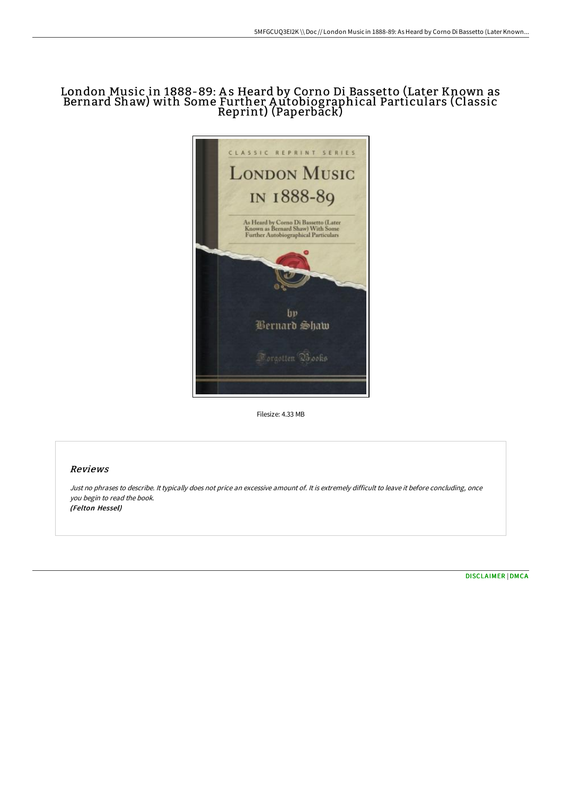## London Music in 1888-89: As Heard by Corno Di Bassetto (Later Known as Bernard Shaw) with Some Further A utobiographical Particulars (Classic Reprint) (Paperback)



Filesize: 4.33 MB

## Reviews

Just no phrases to describe. It typically does not price an excessive amount of. It is extremely difficult to leave it before concluding, once you begin to read the book. (Felton Hessel)

[DISCLAIMER](http://bookera.tech/disclaimer.html) | [DMCA](http://bookera.tech/dmca.html)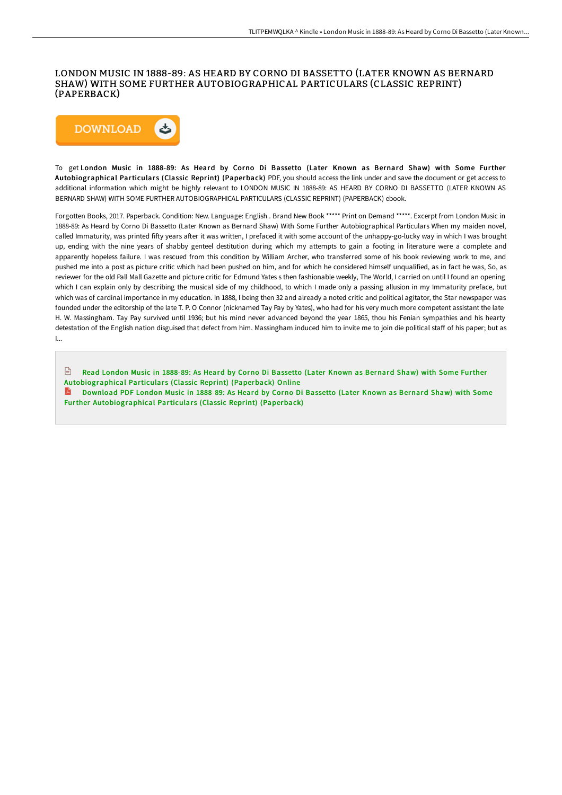## LONDON MUSIC IN 1888-89: AS HEARD BY CORNO DI BASSETTO (LATER KNOWN AS BERNARD SHAW) WITH SOME FURTHER AUTOBIOGRAPHICAL PARTICULARS (CLASSIC REPRINT) (PAPERBACK)



To get London Music in 1888-89: As Heard by Corno Di Bassetto (Later Known as Bernard Shaw) with Some Further Autobiographical Particulars (Classic Reprint) (Paperback) PDF, you should access the link under and save the document or get access to additional information which might be highly relevant to LONDON MUSIC IN 1888-89: AS HEARD BY CORNO DI BASSETTO (LATER KNOWN AS BERNARD SHAW) WITH SOME FURTHER AUTOBIOGRAPHICAL PARTICULARS (CLASSIC REPRINT) (PAPERBACK) ebook.

Forgotten Books, 2017. Paperback. Condition: New. Language: English . Brand New Book \*\*\*\*\* Print on Demand \*\*\*\*\*. Excerpt from London Music in 1888-89: As Heard by Corno Di Bassetto (Later Known as Bernard Shaw) With Some Further Autobiographical Particulars When my maiden novel, called Immaturity, was printed fiFy years aFer it was written, I prefaced it with some account of the unhappy-go-lucky way in which I was brought up, ending with the nine years of shabby genteel destitution during which my attempts to gain a footing in literature were a complete and apparently hopeless failure. I was rescued from this condition by William Archer, who transferred some of his book reviewing work to me, and pushed me into a post as picture critic which had been pushed on him, and for which he considered himself unqualified, as in fact he was, So, as reviewer for the old Pall Mall Gazette and picture critic for Edmund Yates s then fashionable weekly, The World, I carried on until I found an opening which I can explain only by describing the musical side of my childhood, to which I made only a passing allusion in my Immaturity preface, but which was of cardinal importance in my education. In 1888, I being then 32 and already a noted critic and political agitator, the Star newspaper was founded under the editorship of the late T. P. O Connor (nicknamed Tay Pay by Yates), who had for his very much more competent assistant the late H. W. Massingham. Tay Pay survived until 1936; but his mind never advanced beyond the year 1865, thou his Fenian sympathies and his hearty detestation of the English nation disguised that defect from him. Massingham induced him to invite me to join die political staff of his paper; but as I...

Read London Music in 1888-89: As Heard by Corno Di Bassetto (Later Known as Bernard Shaw) with Some Further [Autobiographical](http://bookera.tech/london-music-in-1888-89-as-heard-by-corno-di-bas.html) Particulars (Classic Reprint) (Paperback) Online

Download PDF London Music in 1888-89: As Heard by Corno Di Bassetto (Later Known as Bernard Shaw) with Some Further [Autobiographical](http://bookera.tech/london-music-in-1888-89-as-heard-by-corno-di-bas.html) Particulars (Classic Reprint) (Paperback)